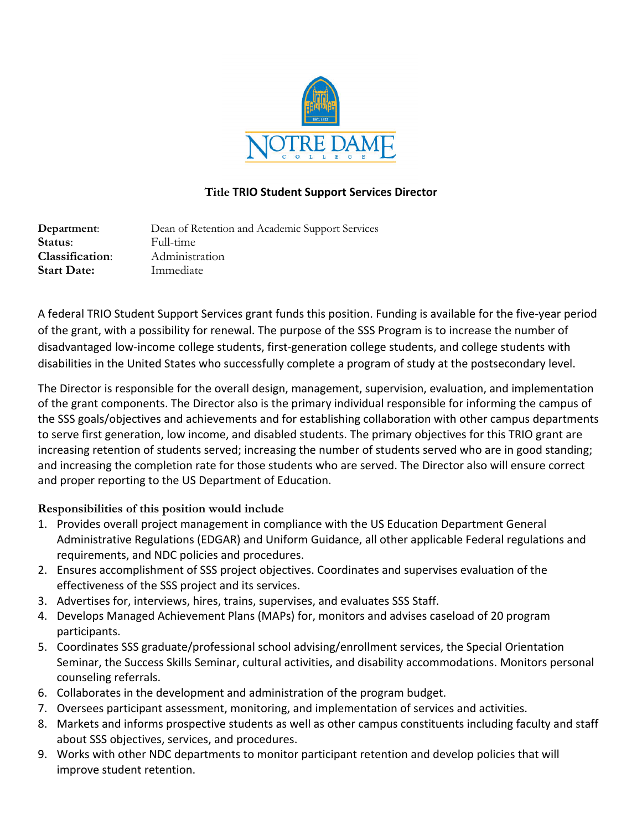

## **Title TRIO Student Support Services Director**

**Department**: Dean of Retention and Academic Support Services **Status**: Full-time **Classification**: Administration **Start Date:** Immediate

A federal TRIO Student Support Services grant funds this position. Funding is available for the five-year period of the grant, with a possibility for renewal. The purpose of the SSS Program is to increase the number of disadvantaged low-income college students, first-generation college students, and college students with disabilities in the United States who successfully complete a program of study at the postsecondary level.

The Director is responsible for the overall design, management, supervision, evaluation, and implementation of the grant components. The Director also is the primary individual responsible for informing the campus of the SSS goals/objectives and achievements and for establishing collaboration with other campus departments to serve first generation, low income, and disabled students. The primary objectives for this TRIO grant are increasing retention of students served; increasing the number of students served who are in good standing; and increasing the completion rate for those students who are served. The Director also will ensure correct and proper reporting to the US Department of Education.

## **Responsibilities of this position would include**

- 1. Provides overall project management in compliance with the US Education Department General Administrative Regulations (EDGAR) and Uniform Guidance, all other applicable Federal regulations and requirements, and NDC policies and procedures.
- 2. Ensures accomplishment of SSS project objectives. Coordinates and supervises evaluation of the effectiveness of the SSS project and its services.
- 3. Advertises for, interviews, hires, trains, supervises, and evaluates SSS Staff.
- 4. Develops Managed Achievement Plans (MAPs) for, monitors and advises caseload of 20 program participants.
- 5. Coordinates SSS graduate/professional school advising/enrollment services, the Special Orientation Seminar, the Success Skills Seminar, cultural activities, and disability accommodations. Monitors personal counseling referrals.
- 6. Collaborates in the development and administration of the program budget.
- 7. Oversees participant assessment, monitoring, and implementation of services and activities.
- 8. Markets and informs prospective students as well as other campus constituents including faculty and staff about SSS objectives, services, and procedures.
- 9. Works with other NDC departments to monitor participant retention and develop policies that will improve student retention.